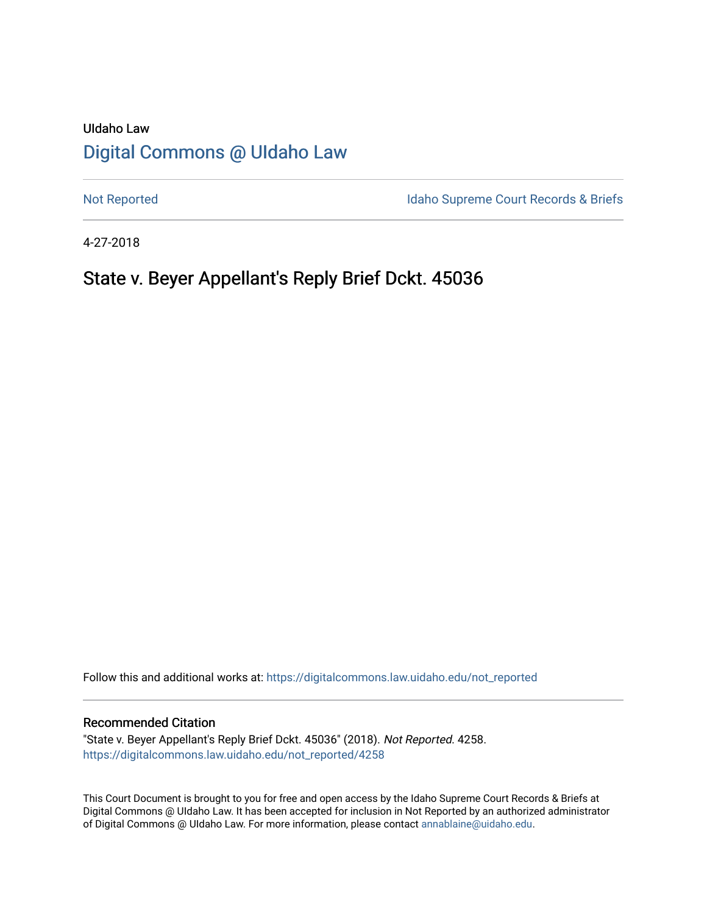# UIdaho Law [Digital Commons @ UIdaho Law](https://digitalcommons.law.uidaho.edu/)

[Not Reported](https://digitalcommons.law.uidaho.edu/not_reported) **Idaho Supreme Court Records & Briefs** 

4-27-2018

# State v. Beyer Appellant's Reply Brief Dckt. 45036

Follow this and additional works at: [https://digitalcommons.law.uidaho.edu/not\\_reported](https://digitalcommons.law.uidaho.edu/not_reported?utm_source=digitalcommons.law.uidaho.edu%2Fnot_reported%2F4258&utm_medium=PDF&utm_campaign=PDFCoverPages) 

#### Recommended Citation

"State v. Beyer Appellant's Reply Brief Dckt. 45036" (2018). Not Reported. 4258. [https://digitalcommons.law.uidaho.edu/not\\_reported/4258](https://digitalcommons.law.uidaho.edu/not_reported/4258?utm_source=digitalcommons.law.uidaho.edu%2Fnot_reported%2F4258&utm_medium=PDF&utm_campaign=PDFCoverPages)

This Court Document is brought to you for free and open access by the Idaho Supreme Court Records & Briefs at Digital Commons @ UIdaho Law. It has been accepted for inclusion in Not Reported by an authorized administrator of Digital Commons @ UIdaho Law. For more information, please contact [annablaine@uidaho.edu](mailto:annablaine@uidaho.edu).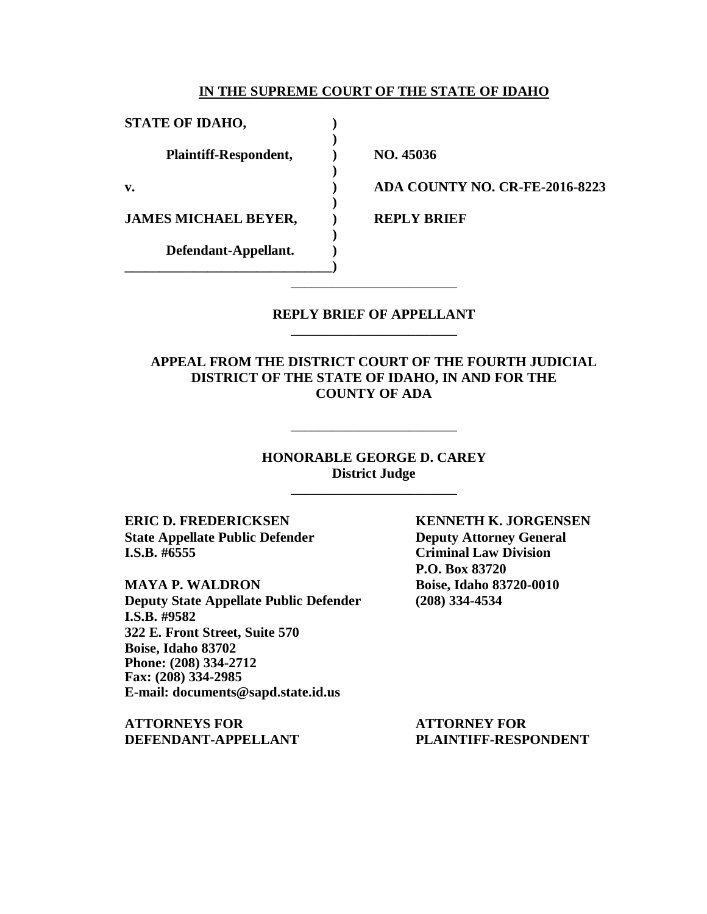#### **IN THE SUPREME COURT OF THE STATE OF IDAHO**

**)**

**)**

**)**

**)**

**STATE OF IDAHO, ) Plaintiff-Respondent, ) NO. 45036 JAMES MICHAEL BEYER, PREPLY BRIEF Defendant-Appellant. )**

**\_\_\_\_\_\_\_\_\_\_\_\_\_\_\_\_\_\_\_\_\_\_\_\_\_\_\_\_\_\_)**

**v. ) ADA COUNTY NO. CR-FE-2016-8223**

#### **REPLY BRIEF OF APPELLANT** \_\_\_\_\_\_\_\_\_\_\_\_\_\_\_\_\_\_\_\_\_\_\_\_

\_\_\_\_\_\_\_\_\_\_\_\_\_\_\_\_\_\_\_\_\_\_\_\_

**APPEAL FROM THE DISTRICT COURT OF THE FOURTH JUDICIAL DISTRICT OF THE STATE OF IDAHO, IN AND FOR THE COUNTY OF ADA**

> **HONORABLE GEORGE D. CAREY District Judge**

> > \_\_\_\_\_\_\_\_\_\_\_\_\_\_\_\_\_\_\_\_\_\_\_\_

\_\_\_\_\_\_\_\_\_\_\_\_\_\_\_\_\_\_\_\_\_\_\_\_

**State Appellate Public Defender Deputy Attorney General I.S.B. #6555 Criminal Law Division**

**MAYA P. WALDRON Boise, Idaho 83720-0010 Deputy State Appellate Public Defender (208) 334-4534 I.S.B. #9582 322 E. Front Street, Suite 570 Boise, Idaho 83702 Phone: (208) 334-2712 Fax: (208) 334-2985 E-mail: documents@sapd.state.id.us**

**ATTORNEYS FOR ATTORNEY FOR DEFENDANT-APPELLANT PLAINTIFF-RESPONDENT**

**ERIC D. FREDERICKSEN KENNETH K. JORGENSEN P.O. Box 83720**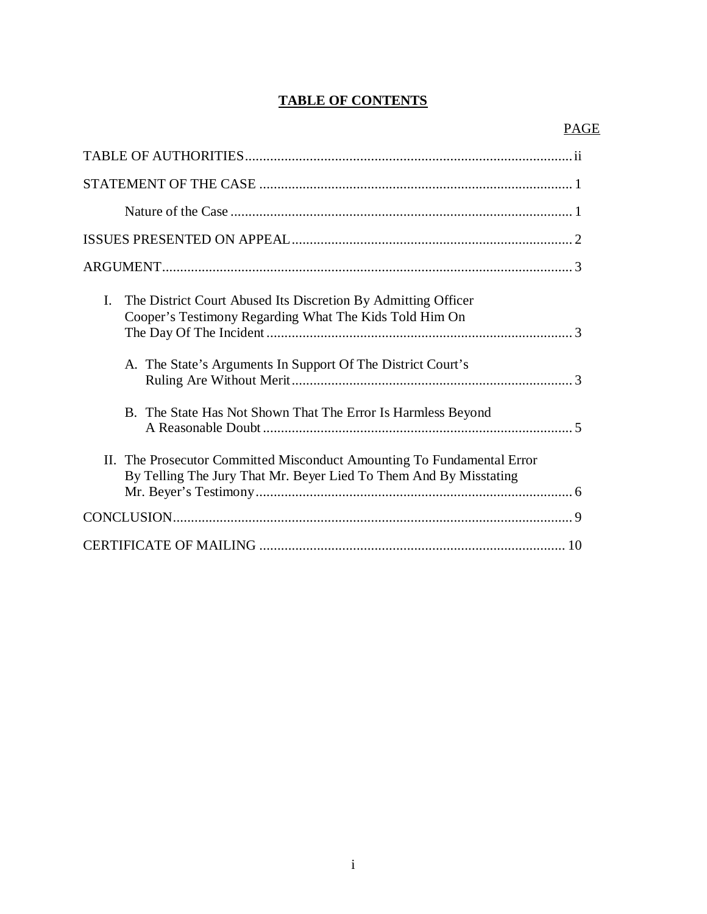## **TABLE OF CONTENTS**

| The District Court Abused Its Discretion By Admitting Officer<br>Ι.<br>Cooper's Testimony Regarding What The Kids Told Him On               |
|---------------------------------------------------------------------------------------------------------------------------------------------|
| A. The State's Arguments In Support Of The District Court's                                                                                 |
| B. The State Has Not Shown That The Error Is Harmless Beyond                                                                                |
| II. The Prosecutor Committed Misconduct Amounting To Fundamental Error<br>By Telling The Jury That Mr. Beyer Lied To Them And By Misstating |
|                                                                                                                                             |
|                                                                                                                                             |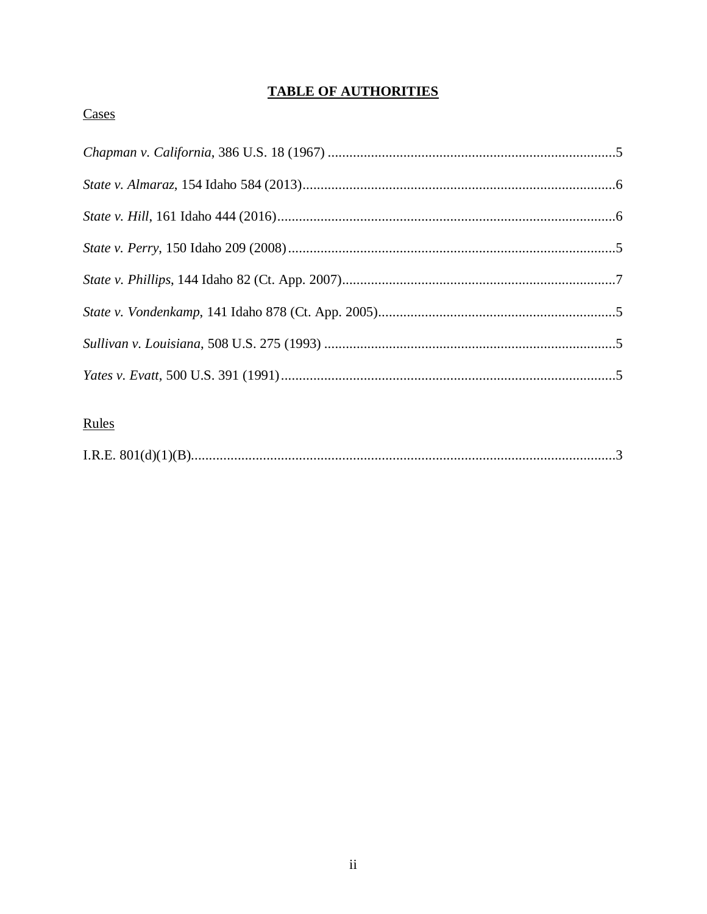# **TABLE OF AUTHORITIES**

## Cases

# Rules

|--|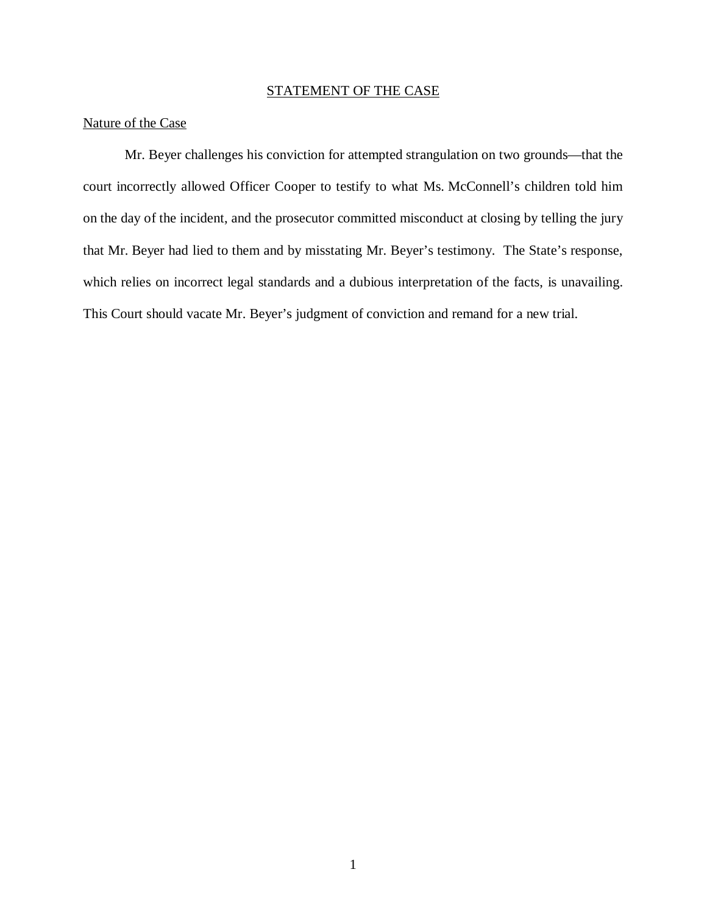### STATEMENT OF THE CASE

### Nature of the Case

Mr. Beyer challenges his conviction for attempted strangulation on two grounds—that the court incorrectly allowed Officer Cooper to testify to what Ms. McConnell's children told him on the day of the incident, and the prosecutor committed misconduct at closing by telling the jury that Mr. Beyer had lied to them and by misstating Mr. Beyer's testimony. The State's response, which relies on incorrect legal standards and a dubious interpretation of the facts, is unavailing. This Court should vacate Mr. Beyer's judgment of conviction and remand for a new trial.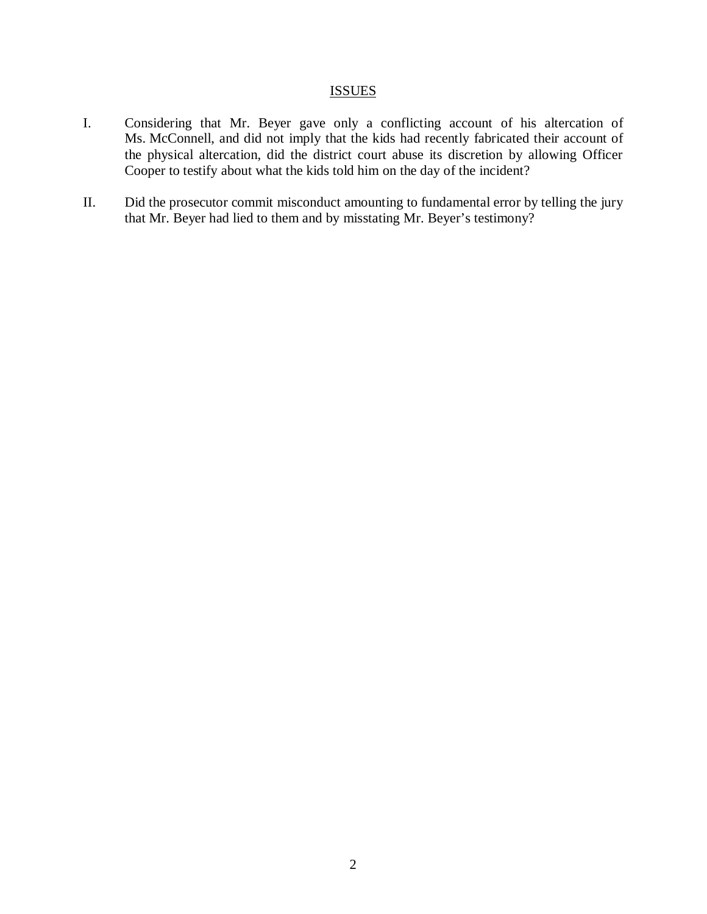### **ISSUES**

- I. Considering that Mr. Beyer gave only a conflicting account of his altercation of Ms. McConnell, and did not imply that the kids had recently fabricated their account of the physical altercation, did the district court abuse its discretion by allowing Officer Cooper to testify about what the kids told him on the day of the incident?
- II. Did the prosecutor commit misconduct amounting to fundamental error by telling the jury that Mr. Beyer had lied to them and by misstating Mr. Beyer's testimony?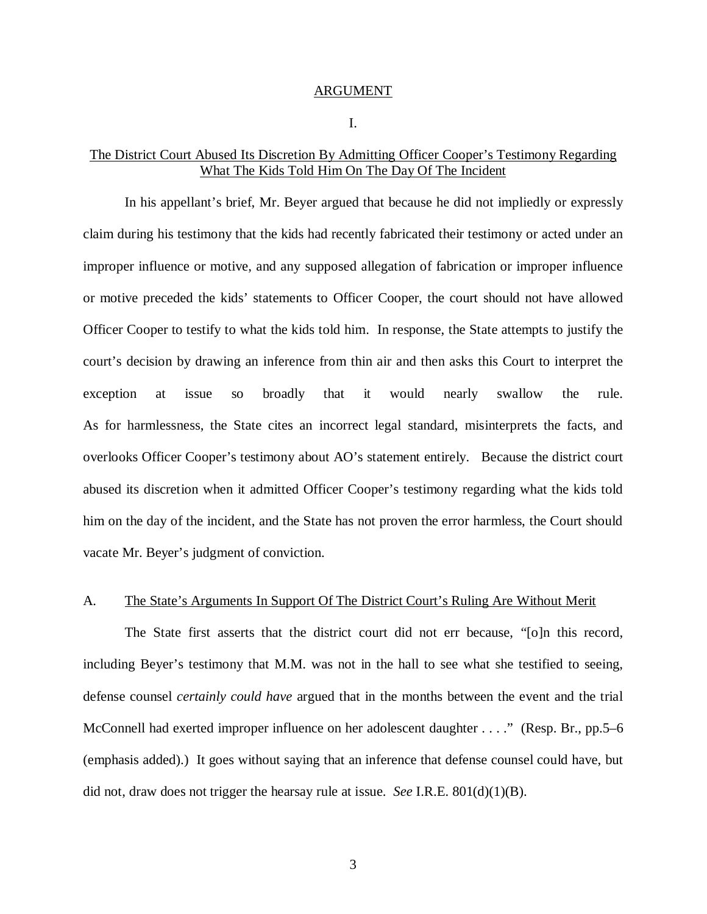#### ARGUMENT

I.

### The District Court Abused Its Discretion By Admitting Officer Cooper's Testimony Regarding What The Kids Told Him On The Day Of The Incident

In his appellant's brief, Mr. Beyer argued that because he did not impliedly or expressly claim during his testimony that the kids had recently fabricated their testimony or acted under an improper influence or motive, and any supposed allegation of fabrication or improper influence or motive preceded the kids' statements to Officer Cooper, the court should not have allowed Officer Cooper to testify to what the kids told him. In response, the State attempts to justify the court's decision by drawing an inference from thin air and then asks this Court to interpret the exception at issue so broadly that it would nearly swallow the rule. As for harmlessness, the State cites an incorrect legal standard, misinterprets the facts, and overlooks Officer Cooper's testimony about AO's statement entirely. Because the district court abused its discretion when it admitted Officer Cooper's testimony regarding what the kids told him on the day of the incident, and the State has not proven the error harmless, the Court should vacate Mr. Beyer's judgment of conviction.

#### A. The State's Arguments In Support Of The District Court's Ruling Are Without Merit

The State first asserts that the district court did not err because, "[o]n this record, including Beyer's testimony that M.M. was not in the hall to see what she testified to seeing, defense counsel *certainly could have* argued that in the months between the event and the trial McConnell had exerted improper influence on her adolescent daughter . . . ." (Resp. Br., pp.5–6 (emphasis added).) It goes without saying that an inference that defense counsel could have, but did not, draw does not trigger the hearsay rule at issue. *See* I.R.E. 801(d)(1)(B).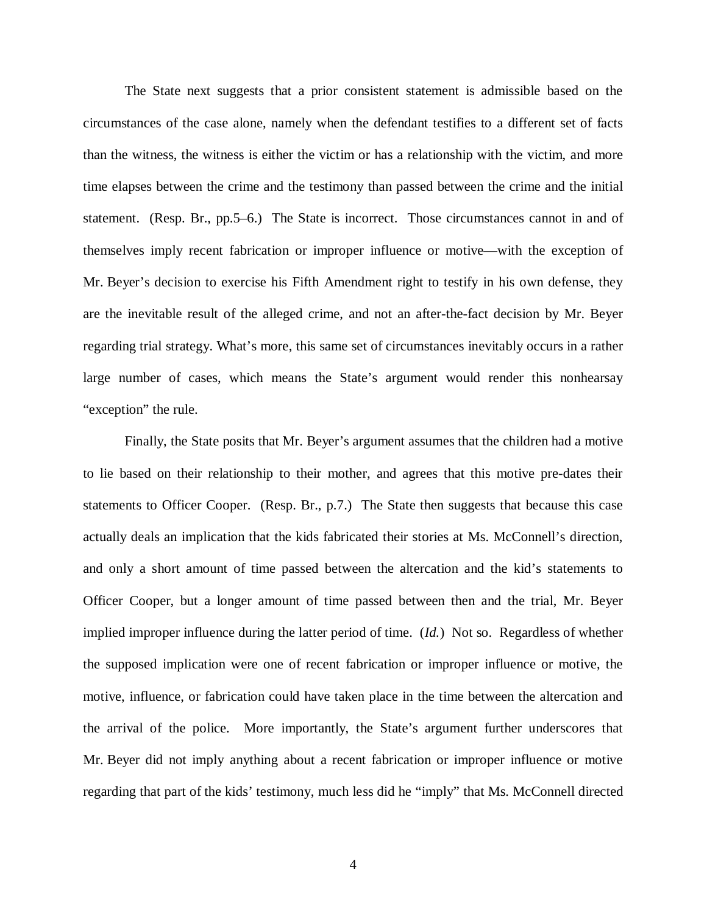The State next suggests that a prior consistent statement is admissible based on the circumstances of the case alone, namely when the defendant testifies to a different set of facts than the witness, the witness is either the victim or has a relationship with the victim, and more time elapses between the crime and the testimony than passed between the crime and the initial statement. (Resp. Br., pp.5–6.) The State is incorrect. Those circumstances cannot in and of themselves imply recent fabrication or improper influence or motive—with the exception of Mr. Beyer's decision to exercise his Fifth Amendment right to testify in his own defense, they are the inevitable result of the alleged crime, and not an after-the-fact decision by Mr. Beyer regarding trial strategy. What's more, this same set of circumstances inevitably occurs in a rather large number of cases, which means the State's argument would render this nonhearsay "exception" the rule.

Finally, the State posits that Mr. Beyer's argument assumes that the children had a motive to lie based on their relationship to their mother, and agrees that this motive pre-dates their statements to Officer Cooper. (Resp. Br., p.7.) The State then suggests that because this case actually deals an implication that the kids fabricated their stories at Ms. McConnell's direction, and only a short amount of time passed between the altercation and the kid's statements to Officer Cooper, but a longer amount of time passed between then and the trial, Mr. Beyer implied improper influence during the latter period of time. (*Id.*) Not so. Regardless of whether the supposed implication were one of recent fabrication or improper influence or motive, the motive, influence, or fabrication could have taken place in the time between the altercation and the arrival of the police. More importantly, the State's argument further underscores that Mr. Beyer did not imply anything about a recent fabrication or improper influence or motive regarding that part of the kids' testimony, much less did he "imply" that Ms. McConnell directed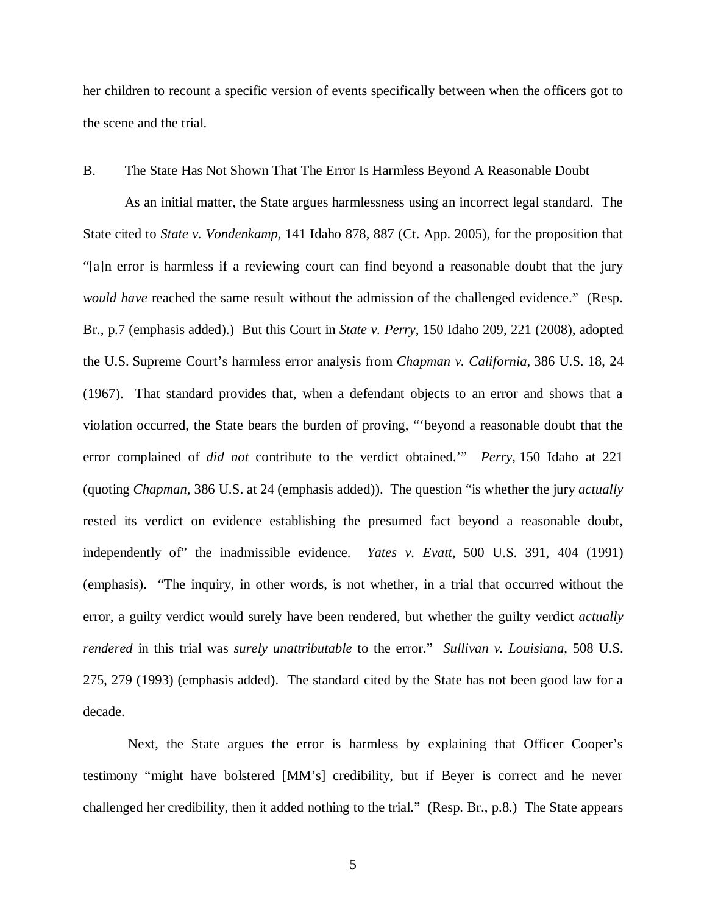her children to recount a specific version of events specifically between when the officers got to the scene and the trial.

#### B. The State Has Not Shown That The Error Is Harmless Beyond A Reasonable Doubt

As an initial matter, the State argues harmlessness using an incorrect legal standard. The State cited to *State v. Vondenkamp*, 141 Idaho 878, 887 (Ct. App. 2005), for the proposition that "[a]n error is harmless if a reviewing court can find beyond a reasonable doubt that the jury *would have* reached the same result without the admission of the challenged evidence." (Resp. Br., p.7 (emphasis added).) But this Court in *State v. Perry*, 150 Idaho 209, 221 (2008), adopted the U.S. Supreme Court's harmless error analysis from *Chapman v. California*, 386 U.S. 18, 24 (1967). That standard provides that, when a defendant objects to an error and shows that a violation occurred, the State bears the burden of proving, "'beyond a reasonable doubt that the error complained of *did not* contribute to the verdict obtained.'" *Perry*, 150 Idaho at 221 (quoting *Chapman*, 386 U.S. at 24 (emphasis added)). The question "is whether the jury *actually* rested its verdict on evidence establishing the presumed fact beyond a reasonable doubt, independently of" the inadmissible evidence. *Yates v. Evatt*, 500 U.S. 391, 404 (1991) (emphasis). "The inquiry, in other words, is not whether, in a trial that occurred without the error, a guilty verdict would surely have been rendered, but whether the guilty verdict *actually rendered* in this trial was *surely unattributable* to the error." *Sullivan v. Louisiana*, 508 U.S. 275, 279 (1993) (emphasis added). The standard cited by the State has not been good law for a decade.

 Next, the State argues the error is harmless by explaining that Officer Cooper's testimony "might have bolstered [MM's] credibility, but if Beyer is correct and he never challenged her credibility, then it added nothing to the trial." (Resp. Br., p.8.) The State appears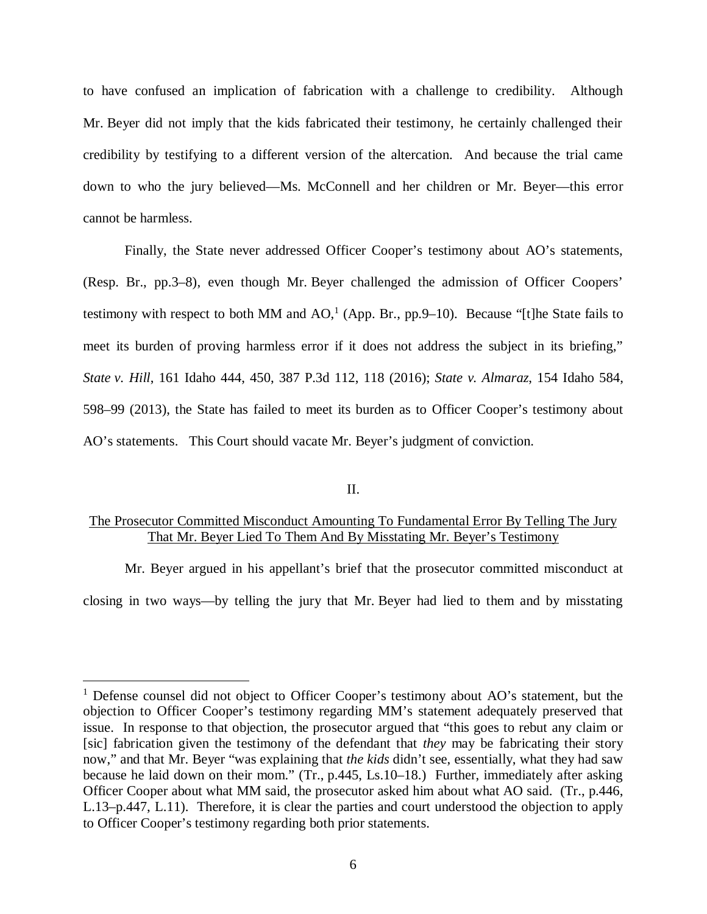to have confused an implication of fabrication with a challenge to credibility. Although Mr. Beyer did not imply that the kids fabricated their testimony, he certainly challenged their credibility by testifying to a different version of the altercation. And because the trial came down to who the jury believed—Ms. McConnell and her children or Mr. Beyer—this error cannot be harmless.

Finally, the State never addressed Officer Cooper's testimony about AO's statements, (Resp. Br., pp.3–8), even though Mr. Beyer challenged the admission of Officer Coopers' testimony with respect to both MM and  $AO<sup>1</sup>$  $AO<sup>1</sup>$  $AO<sup>1</sup>$  (App. Br., pp.9–10). Because "[t]he State fails to meet its burden of proving harmless error if it does not address the subject in its briefing," *State v. Hill*, 161 Idaho 444, 450, 387 P.3d 112, 118 (2016); *State v. Almaraz*, 154 Idaho 584, 598–99 (2013), the State has failed to meet its burden as to Officer Cooper's testimony about AO's statements. This Court should vacate Mr. Beyer's judgment of conviction.

#### II.

### The Prosecutor Committed Misconduct Amounting To Fundamental Error By Telling The Jury That Mr. Beyer Lied To Them And By Misstating Mr. Beyer's Testimony

Mr. Beyer argued in his appellant's brief that the prosecutor committed misconduct at closing in two ways—by telling the jury that Mr. Beyer had lied to them and by misstating

<span id="page-9-0"></span><sup>&</sup>lt;sup>1</sup> Defense counsel did not object to Officer Cooper's testimony about AO's statement, but the objection to Officer Cooper's testimony regarding MM's statement adequately preserved that issue. In response to that objection, the prosecutor argued that "this goes to rebut any claim or [sic] fabrication given the testimony of the defendant that *they* may be fabricating their story now," and that Mr. Beyer "was explaining that *the kids* didn't see, essentially, what they had saw because he laid down on their mom." (Tr., p.445, Ls.10–18.) Further, immediately after asking Officer Cooper about what MM said, the prosecutor asked him about what AO said. (Tr., p.446, L.13–p.447, L.11). Therefore, it is clear the parties and court understood the objection to apply to Officer Cooper's testimony regarding both prior statements.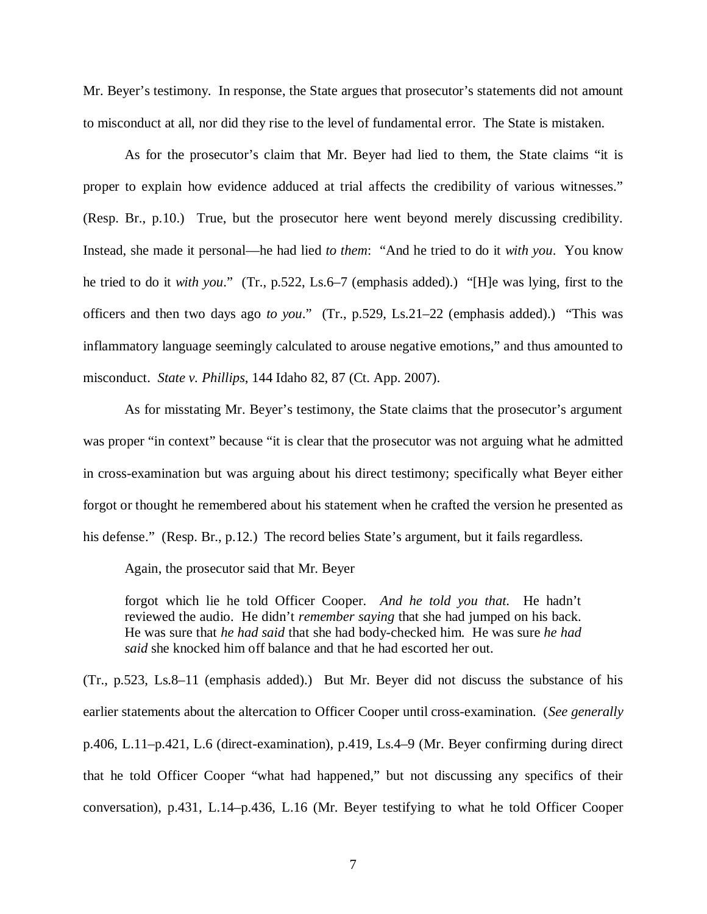Mr. Beyer's testimony. In response, the State argues that prosecutor's statements did not amount to misconduct at all, nor did they rise to the level of fundamental error. The State is mistaken.

As for the prosecutor's claim that Mr. Beyer had lied to them, the State claims "it is proper to explain how evidence adduced at trial affects the credibility of various witnesses." (Resp. Br., p.10.) True, but the prosecutor here went beyond merely discussing credibility. Instead, she made it personal—he had lied *to them*: "And he tried to do it *with you*. You know he tried to do it *with you*." (Tr., p.522, Ls.6–7 (emphasis added).) "[H]e was lying, first to the officers and then two days ago *to you*." (Tr., p.529, Ls.21–22 (emphasis added).) "This was inflammatory language seemingly calculated to arouse negative emotions," and thus amounted to misconduct. *State v. Phillips*, 144 Idaho 82, 87 (Ct. App. 2007).

As for misstating Mr. Beyer's testimony, the State claims that the prosecutor's argument was proper "in context" because "it is clear that the prosecutor was not arguing what he admitted in cross-examination but was arguing about his direct testimony; specifically what Beyer either forgot or thought he remembered about his statement when he crafted the version he presented as his defense." (Resp. Br., p.12.) The record belies State's argument, but it fails regardless.

Again, the prosecutor said that Mr. Beyer

forgot which lie he told Officer Cooper. *And he told you that*. He hadn't reviewed the audio. He didn't *remember saying* that she had jumped on his back. He was sure that *he had said* that she had body-checked him. He was sure *he had said* she knocked him off balance and that he had escorted her out.

(Tr., p.523, Ls.8–11 (emphasis added).) But Mr. Beyer did not discuss the substance of his earlier statements about the altercation to Officer Cooper until cross-examination. (*See generally* p.406, L.11–p.421, L.6 (direct-examination), p.419, Ls.4–9 (Mr. Beyer confirming during direct that he told Officer Cooper "what had happened," but not discussing any specifics of their conversation), p.431, L.14–p.436, L.16 (Mr. Beyer testifying to what he told Officer Cooper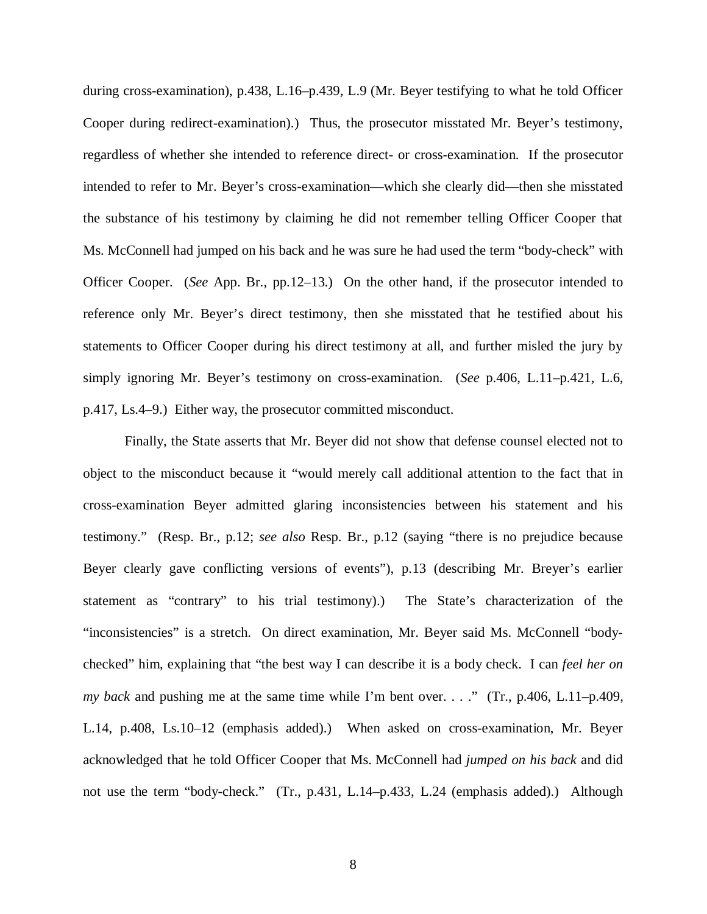during cross-examination), p.438, L.16–p.439, L.9 (Mr. Beyer testifying to what he told Officer Cooper during redirect-examination).) Thus, the prosecutor misstated Mr. Beyer's testimony, regardless of whether she intended to reference direct- or cross-examination. If the prosecutor intended to refer to Mr. Beyer's cross-examination—which she clearly did—then she misstated the substance of his testimony by claiming he did not remember telling Officer Cooper that Ms. McConnell had jumped on his back and he was sure he had used the term "body-check" with Officer Cooper. (*See* App. Br., pp.12–13.) On the other hand, if the prosecutor intended to reference only Mr. Beyer's direct testimony, then she misstated that he testified about his statements to Officer Cooper during his direct testimony at all, and further misled the jury by simply ignoring Mr. Beyer's testimony on cross-examination. (*See* p.406, L.11–p.421, L.6, p.417, Ls.4–9.) Either way, the prosecutor committed misconduct.

Finally, the State asserts that Mr. Beyer did not show that defense counsel elected not to object to the misconduct because it "would merely call additional attention to the fact that in cross-examination Beyer admitted glaring inconsistencies between his statement and his testimony." (Resp. Br., p.12; *see also* Resp. Br., p.12 (saying "there is no prejudice because Beyer clearly gave conflicting versions of events"), p.13 (describing Mr. Breyer's earlier statement as "contrary" to his trial testimony).) The State's characterization of the "inconsistencies" is a stretch. On direct examination, Mr. Beyer said Ms. McConnell "bodychecked" him, explaining that "the best way I can describe it is a body check. I can *feel her on my back* and pushing me at the same time while I'm bent over. . . ." (Tr., p.406, L.11–p.409, L.14, p.408, Ls.10–12 (emphasis added).) When asked on cross-examination, Mr. Beyer acknowledged that he told Officer Cooper that Ms. McConnell had *jumped on his back* and did not use the term "body-check." (Tr., p.431, L.14–p.433, L.24 (emphasis added).) Although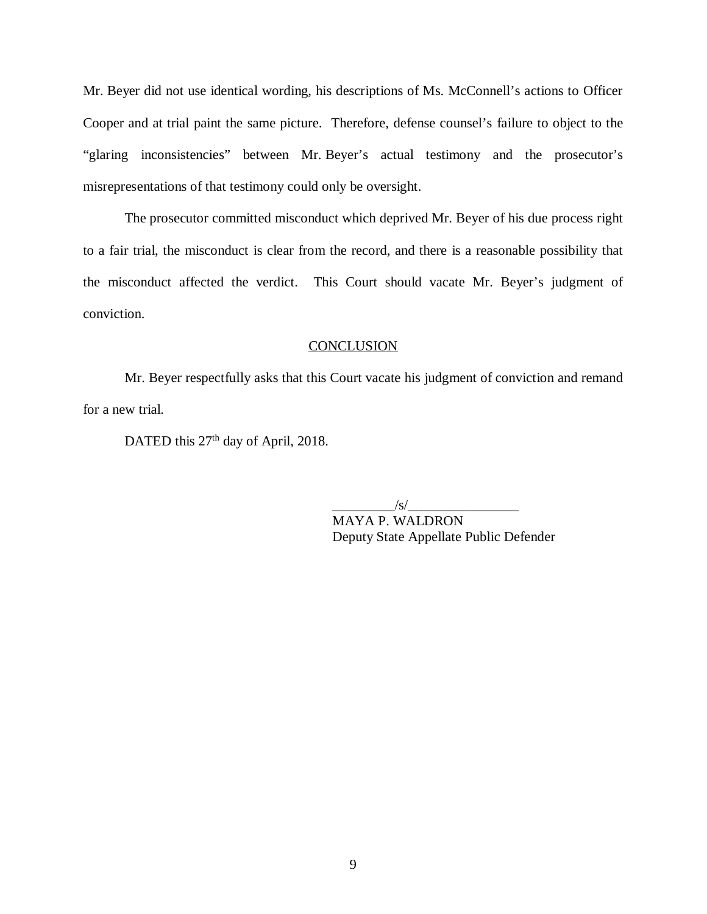Mr. Beyer did not use identical wording, his descriptions of Ms. McConnell's actions to Officer Cooper and at trial paint the same picture. Therefore, defense counsel's failure to object to the "glaring inconsistencies" between Mr. Beyer's actual testimony and the prosecutor's misrepresentations of that testimony could only be oversight.

The prosecutor committed misconduct which deprived Mr. Beyer of his due process right to a fair trial, the misconduct is clear from the record, and there is a reasonable possibility that the misconduct affected the verdict. This Court should vacate Mr. Beyer's judgment of conviction.

#### **CONCLUSION**

Mr. Beyer respectfully asks that this Court vacate his judgment of conviction and remand for a new trial.

DATED this 27<sup>th</sup> day of April, 2018.

 $/s/$ 

MAYA P. WALDRON Deputy State Appellate Public Defender